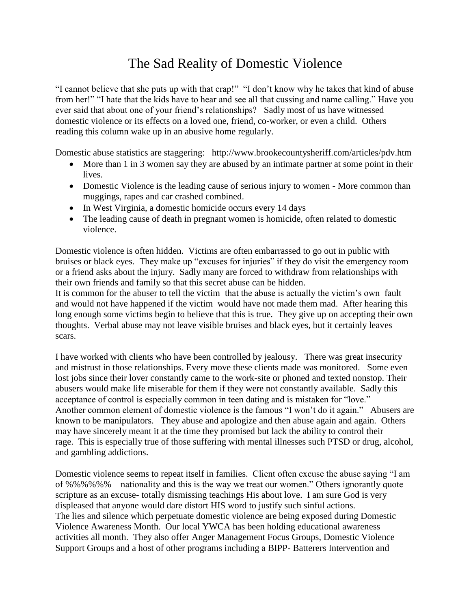## The Sad Reality of Domestic Violence

"I cannot believe that she puts up with that crap!" "I don't know why he takes that kind of abuse from her!" "I hate that the kids have to hear and see all that cussing and name calling." Have you ever said that about one of your friend's relationships? Sadly most of us have witnessed domestic violence or its effects on a loved one, friend, co-worker, or even a child. Others reading this column wake up in an abusive home regularly.

Domestic abuse statistics are staggering: http://www.brookecountysheriff.com/articles/pdv.htm

- More than 1 in 3 women say they are abused by an intimate partner at some point in their lives.
- Domestic Violence is the leading cause of serious injury to women More common than muggings, rapes and car crashed combined.
- In West Virginia, a domestic homicide occurs every 14 days
- The leading cause of death in pregnant women is homicide, often related to domestic violence.

Domestic violence is often hidden. Victims are often embarrassed to go out in public with bruises or black eyes. They make up "excuses for injuries" if they do visit the emergency room or a friend asks about the injury. Sadly many are forced to withdraw from relationships with their own friends and family so that this secret abuse can be hidden.

It is common for the abuser to tell the victim that the abuse is actually the victim's own fault and would not have happened if the victim would have not made them mad. After hearing this long enough some victims begin to believe that this is true. They give up on accepting their own thoughts. Verbal abuse may not leave visible bruises and black eyes, but it certainly leaves scars.

I have worked with clients who have been controlled by jealousy. There was great insecurity and mistrust in those relationships. Every move these clients made was monitored. Some even lost jobs since their lover constantly came to the work-site or phoned and texted nonstop. Their abusers would make life miserable for them if they were not constantly available. Sadly this acceptance of control is especially common in teen dating and is mistaken for "love." Another common element of domestic violence is the famous "I won't do it again." Abusers are known to be manipulators. They abuse and apologize and then abuse again and again. Others may have sincerely meant it at the time they promised but lack the ability to control their rage. This is especially true of those suffering with mental illnesses such PTSD or drug, alcohol, and gambling addictions.

Domestic violence seems to repeat itself in families. Client often excuse the abuse saying "I am of %%%%%% nationality and this is the way we treat our women." Others ignorantly quote scripture as an excuse- totally dismissing teachings His about love. I am sure God is very displeased that anyone would dare distort HIS word to justify such sinful actions. The lies and silence which perpetuate domestic violence are being exposed during Domestic Violence Awareness Month. Our local YWCA has been holding educational awareness activities all month. They also offer Anger Management Focus Groups, Domestic Violence Support Groups and a host of other programs including a BIPP- Batterers Intervention and